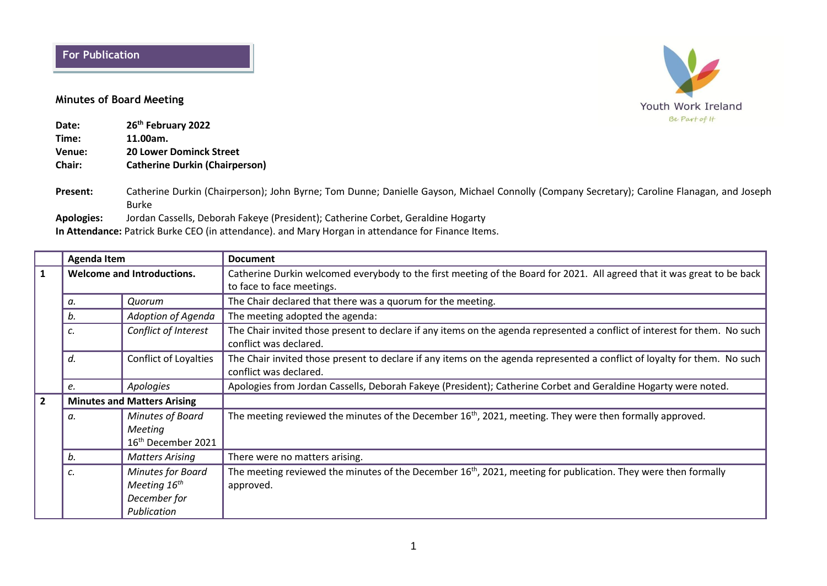## **For Publication**

## **Minutes of Board Meeting**

| Date:  | 26 <sup>th</sup> February 2022        |
|--------|---------------------------------------|
| Time:  | 11.00am.                              |
| Venue: | <b>20 Lower Dominck Street</b>        |
| Chair: | <b>Catherine Durkin (Chairperson)</b> |

**Present:** Catherine Durkin (Chairperson); John Byrne; Tom Dunne; Danielle Gayson, Michael Connolly (Company Secretary); Caroline Flanagan, and Joseph Burke

**Apologies:** Jordan Cassells, Deborah Fakeye (President); Catherine Corbet, Geraldine Hogarty

**In Attendance:** Patrick Burke CEO (in attendance). and Mary Horgan in attendance for Finance Items.

|                | <b>Agenda Item</b>                 |                                                                       | <b>Document</b>                                                                                                                                      |  |  |  |
|----------------|------------------------------------|-----------------------------------------------------------------------|------------------------------------------------------------------------------------------------------------------------------------------------------|--|--|--|
| $\mathbf{1}$   | <b>Welcome and Introductions.</b>  |                                                                       | Catherine Durkin welcomed everybody to the first meeting of the Board for 2021. All agreed that it was great to be back                              |  |  |  |
|                |                                    |                                                                       | to face to face meetings.                                                                                                                            |  |  |  |
|                | а.                                 | Quorum                                                                | The Chair declared that there was a quorum for the meeting.                                                                                          |  |  |  |
|                | b.                                 | Adoption of Agenda                                                    | The meeting adopted the agenda:                                                                                                                      |  |  |  |
|                | c.                                 | Conflict of Interest                                                  | The Chair invited those present to declare if any items on the agenda represented a conflict of interest for them. No such<br>conflict was declared. |  |  |  |
|                | d.                                 | <b>Conflict of Loyalties</b>                                          | The Chair invited those present to declare if any items on the agenda represented a conflict of loyalty for them. No such<br>conflict was declared.  |  |  |  |
|                | e.                                 | Apologies                                                             | Apologies from Jordan Cassells, Deborah Fakeye (President); Catherine Corbet and Geraldine Hogarty were noted.                                       |  |  |  |
| $\overline{2}$ | <b>Minutes and Matters Arising</b> |                                                                       |                                                                                                                                                      |  |  |  |
|                | а.                                 | Minutes of Board<br>Meeting<br>16 <sup>th</sup> December 2021         | The meeting reviewed the minutes of the December $16th$ , 2021, meeting. They were then formally approved.                                           |  |  |  |
|                | b.                                 | <b>Matters Arising</b>                                                | There were no matters arising.                                                                                                                       |  |  |  |
|                | c.                                 | Minutes for Board<br>Meeting $16^{th}$<br>December for<br>Publication | The meeting reviewed the minutes of the December 16 <sup>th</sup> , 2021, meeting for publication. They were then formally<br>approved.              |  |  |  |

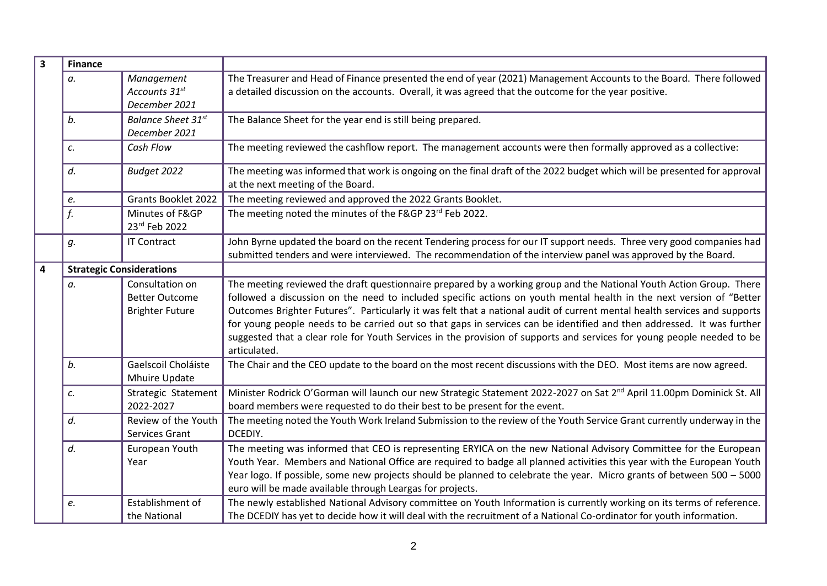| $\overline{\mathbf{3}}$ | <b>Finance</b> |                                                                    |                                                                                                                                                                                                                                                                                                                                                                                                                                                                                                                                                                                                                                              |  |  |  |
|-------------------------|----------------|--------------------------------------------------------------------|----------------------------------------------------------------------------------------------------------------------------------------------------------------------------------------------------------------------------------------------------------------------------------------------------------------------------------------------------------------------------------------------------------------------------------------------------------------------------------------------------------------------------------------------------------------------------------------------------------------------------------------------|--|--|--|
|                         | а.             | Management<br>Accounts 31st<br>December 2021                       | The Treasurer and Head of Finance presented the end of year (2021) Management Accounts to the Board. There followed<br>a detailed discussion on the accounts. Overall, it was agreed that the outcome for the year positive.                                                                                                                                                                                                                                                                                                                                                                                                                 |  |  |  |
|                         | b.             | <b>Balance Sheet 31st</b><br>December 2021                         | The Balance Sheet for the year end is still being prepared.                                                                                                                                                                                                                                                                                                                                                                                                                                                                                                                                                                                  |  |  |  |
|                         | c.             | Cash Flow                                                          | The meeting reviewed the cashflow report. The management accounts were then formally approved as a collective:                                                                                                                                                                                                                                                                                                                                                                                                                                                                                                                               |  |  |  |
|                         | d.             | Budget 2022                                                        | The meeting was informed that work is ongoing on the final draft of the 2022 budget which will be presented for approval<br>at the next meeting of the Board.                                                                                                                                                                                                                                                                                                                                                                                                                                                                                |  |  |  |
|                         | e.             | <b>Grants Booklet 2022</b>                                         | The meeting reviewed and approved the 2022 Grants Booklet.                                                                                                                                                                                                                                                                                                                                                                                                                                                                                                                                                                                   |  |  |  |
|                         | f.             | Minutes of F&GP<br>23rd Feb 2022                                   | The meeting noted the minutes of the F&GP 23rd Feb 2022.                                                                                                                                                                                                                                                                                                                                                                                                                                                                                                                                                                                     |  |  |  |
|                         | g.             | <b>IT Contract</b>                                                 | John Byrne updated the board on the recent Tendering process for our IT support needs. Three very good companies had<br>submitted tenders and were interviewed. The recommendation of the interview panel was approved by the Board.                                                                                                                                                                                                                                                                                                                                                                                                         |  |  |  |
| $\overline{\mathbf{4}}$ |                | <b>Strategic Considerations</b>                                    |                                                                                                                                                                                                                                                                                                                                                                                                                                                                                                                                                                                                                                              |  |  |  |
|                         | a.             | Consultation on<br><b>Better Outcome</b><br><b>Brighter Future</b> | The meeting reviewed the draft questionnaire prepared by a working group and the National Youth Action Group. There<br>followed a discussion on the need to included specific actions on youth mental health in the next version of "Better<br>Outcomes Brighter Futures". Particularly it was felt that a national audit of current mental health services and supports<br>for young people needs to be carried out so that gaps in services can be identified and then addressed. It was further<br>suggested that a clear role for Youth Services in the provision of supports and services for young people needed to be<br>articulated. |  |  |  |
|                         | b.             | Gaelscoil Choláiste<br>Mhuire Update                               | The Chair and the CEO update to the board on the most recent discussions with the DEO. Most items are now agreed.                                                                                                                                                                                                                                                                                                                                                                                                                                                                                                                            |  |  |  |
|                         | c.             | Strategic Statement<br>2022-2027                                   | Minister Rodrick O'Gorman will launch our new Strategic Statement 2022-2027 on Sat 2 <sup>nd</sup> April 11.00pm Dominick St. All<br>board members were requested to do their best to be present for the event.                                                                                                                                                                                                                                                                                                                                                                                                                              |  |  |  |
|                         | d.             | Review of the Youth<br>Services Grant                              | The meeting noted the Youth Work Ireland Submission to the review of the Youth Service Grant currently underway in the<br>DCEDIY.                                                                                                                                                                                                                                                                                                                                                                                                                                                                                                            |  |  |  |
|                         | d.             | European Youth<br>Year                                             | The meeting was informed that CEO is representing ERYICA on the new National Advisory Committee for the European<br>Youth Year. Members and National Office are required to badge all planned activities this year with the European Youth<br>Year logo. If possible, some new projects should be planned to celebrate the year. Micro grants of between 500 - 5000<br>euro will be made available through Leargas for projects.                                                                                                                                                                                                             |  |  |  |
|                         | e.             | Establishment of<br>the National                                   | The newly established National Advisory committee on Youth Information is currently working on its terms of reference.<br>The DCEDIY has yet to decide how it will deal with the recruitment of a National Co-ordinator for youth information.                                                                                                                                                                                                                                                                                                                                                                                               |  |  |  |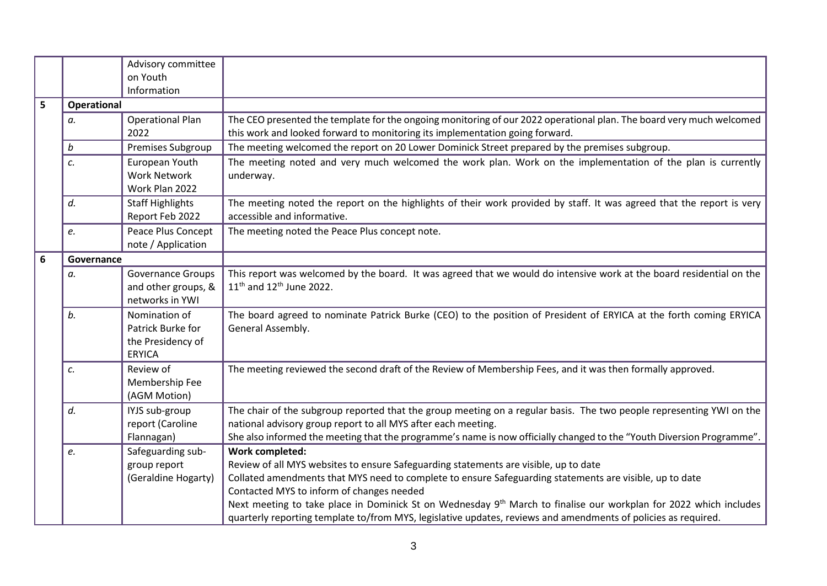|   |                    | Advisory committee<br>on Youth                                           |                                                                                                                                                                                                                                                                                                                |
|---|--------------------|--------------------------------------------------------------------------|----------------------------------------------------------------------------------------------------------------------------------------------------------------------------------------------------------------------------------------------------------------------------------------------------------------|
|   |                    | Information                                                              |                                                                                                                                                                                                                                                                                                                |
| 5 | <b>Operational</b> |                                                                          |                                                                                                                                                                                                                                                                                                                |
|   | a.                 | <b>Operational Plan</b><br>2022                                          | The CEO presented the template for the ongoing monitoring of our 2022 operational plan. The board very much welcomed<br>this work and looked forward to monitoring its implementation going forward.                                                                                                           |
|   | b                  | Premises Subgroup                                                        | The meeting welcomed the report on 20 Lower Dominick Street prepared by the premises subgroup.                                                                                                                                                                                                                 |
|   | c.                 | European Youth<br><b>Work Network</b><br>Work Plan 2022                  | The meeting noted and very much welcomed the work plan. Work on the implementation of the plan is currently<br>underway.                                                                                                                                                                                       |
|   | d.                 | <b>Staff Highlights</b><br>Report Feb 2022                               | The meeting noted the report on the highlights of their work provided by staff. It was agreed that the report is very<br>accessible and informative.                                                                                                                                                           |
|   | e.                 | Peace Plus Concept<br>note / Application                                 | The meeting noted the Peace Plus concept note.                                                                                                                                                                                                                                                                 |
| 6 | Governance         |                                                                          |                                                                                                                                                                                                                                                                                                                |
|   | а.                 | Governance Groups<br>and other groups, &<br>networks in YWI              | This report was welcomed by the board. It was agreed that we would do intensive work at the board residential on the<br>$11^{th}$ and $12^{th}$ June 2022.                                                                                                                                                     |
|   | b.                 | Nomination of<br>Patrick Burke for<br>the Presidency of<br><b>ERYICA</b> | The board agreed to nominate Patrick Burke (CEO) to the position of President of ERYICA at the forth coming ERYICA<br>General Assembly.                                                                                                                                                                        |
|   | c.                 | Review of<br>Membership Fee<br>(AGM Motion)                              | The meeting reviewed the second draft of the Review of Membership Fees, and it was then formally approved.                                                                                                                                                                                                     |
|   | d.                 | IYJS sub-group<br>report (Caroline<br>Flannagan)                         | The chair of the subgroup reported that the group meeting on a regular basis. The two people representing YWI on the<br>national advisory group report to all MYS after each meeting.<br>She also informed the meeting that the programme's name is now officially changed to the "Youth Diversion Programme". |
|   | e.                 | Safeguarding sub-<br>group report<br>(Geraldine Hogarty)                 | <b>Work completed:</b><br>Review of all MYS websites to ensure Safeguarding statements are visible, up to date<br>Collated amendments that MYS need to complete to ensure Safeguarding statements are visible, up to date                                                                                      |
|   |                    |                                                                          | Contacted MYS to inform of changes needed<br>Next meeting to take place in Dominick St on Wednesday 9 <sup>th</sup> March to finalise our workplan for 2022 which includes<br>quarterly reporting template to/from MYS, legislative updates, reviews and amendments of policies as required.                   |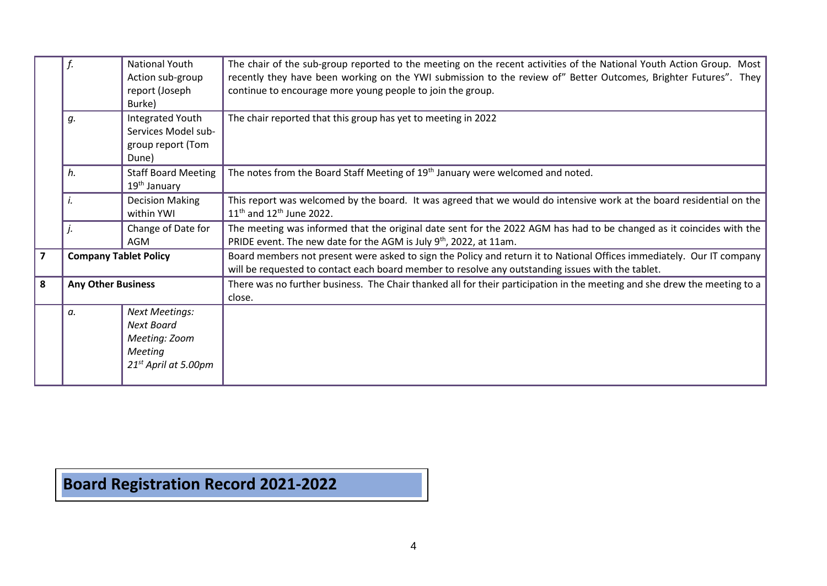|                |                                  | National Youth<br>The chair of the sub-group reported to the meeting on the recent activities of the National Youth Action Group. Most |                                                                                                                           |  |  |  |  |
|----------------|----------------------------------|----------------------------------------------------------------------------------------------------------------------------------------|---------------------------------------------------------------------------------------------------------------------------|--|--|--|--|
|                |                                  | Action sub-group                                                                                                                       | recently they have been working on the YWI submission to the review of" Better Outcomes, Brighter Futures". They          |  |  |  |  |
|                |                                  | report (Joseph                                                                                                                         | continue to encourage more young people to join the group.                                                                |  |  |  |  |
|                |                                  | Burke)                                                                                                                                 |                                                                                                                           |  |  |  |  |
|                | g.                               | Integrated Youth                                                                                                                       | The chair reported that this group has yet to meeting in 2022                                                             |  |  |  |  |
|                |                                  | Services Model sub-                                                                                                                    |                                                                                                                           |  |  |  |  |
|                | group report (Tom                |                                                                                                                                        |                                                                                                                           |  |  |  |  |
|                | Dune)                            |                                                                                                                                        |                                                                                                                           |  |  |  |  |
|                | h.<br><b>Staff Board Meeting</b> |                                                                                                                                        | The notes from the Board Staff Meeting of 19 <sup>th</sup> January were welcomed and noted.                               |  |  |  |  |
|                |                                  | 19 <sup>th</sup> January                                                                                                               |                                                                                                                           |  |  |  |  |
|                |                                  | <b>Decision Making</b>                                                                                                                 | This report was welcomed by the board. It was agreed that we would do intensive work at the board residential on the      |  |  |  |  |
|                |                                  | within YWI                                                                                                                             | $11^{th}$ and $12^{th}$ June 2022.                                                                                        |  |  |  |  |
|                |                                  | Change of Date for                                                                                                                     | The meeting was informed that the original date sent for the 2022 AGM has had to be changed as it coincides with the      |  |  |  |  |
| AGM            |                                  |                                                                                                                                        | PRIDE event. The new date for the AGM is July 9 <sup>th</sup> , 2022, at 11am.                                            |  |  |  |  |
| $\overline{7}$ | <b>Company Tablet Policy</b>     |                                                                                                                                        | Board members not present were asked to sign the Policy and return it to National Offices immediately. Our IT company     |  |  |  |  |
|                |                                  |                                                                                                                                        | will be requested to contact each board member to resolve any outstanding issues with the tablet.                         |  |  |  |  |
| 8              | <b>Any Other Business</b>        |                                                                                                                                        | There was no further business. The Chair thanked all for their participation in the meeting and she drew the meeting to a |  |  |  |  |
|                |                                  |                                                                                                                                        | close.                                                                                                                    |  |  |  |  |
|                | a.                               | <b>Next Meetings:</b>                                                                                                                  |                                                                                                                           |  |  |  |  |
|                |                                  | <b>Next Board</b>                                                                                                                      |                                                                                                                           |  |  |  |  |
|                |                                  | Meeting: Zoom                                                                                                                          |                                                                                                                           |  |  |  |  |
|                |                                  | Meeting                                                                                                                                |                                                                                                                           |  |  |  |  |
|                |                                  | $21^{st}$ April at 5.00pm                                                                                                              |                                                                                                                           |  |  |  |  |
|                |                                  |                                                                                                                                        |                                                                                                                           |  |  |  |  |

**Board Registration Record 2021-2022**